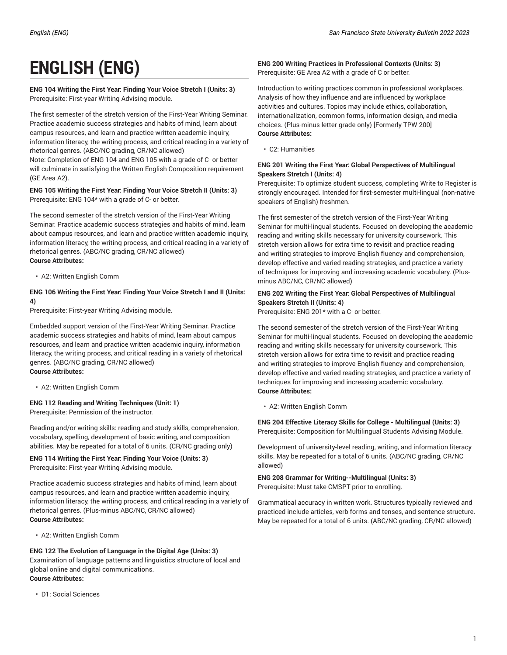# **ENGLISH (ENG)**

### **ENG 104 Writing the First Year: Finding Your Voice Stretch I (Units: 3)** Prerequisite: First-year Writing Advising module.

The first semester of the stretch version of the First-Year Writing Seminar. Practice academic success strategies and habits of mind, learn about campus resources, and learn and practice written academic inquiry, information literacy, the writing process, and critical reading in a variety of rhetorical genres. (ABC/NC grading, CR/NC allowed) Note: Completion of ENG 104 and ENG 105 with a grade of C- or better will culminate in satisfying the Written English Composition requirement (GE Area A2).

### **ENG 105 Writing the First Year: Finding Your Voice Stretch II (Units: 3)** Prerequisite: ENG 104\* with a grade of C- or better.

The second semester of the stretch version of the First-Year Writing Seminar. Practice academic success strategies and habits of mind, learn about campus resources, and learn and practice written academic inquiry, information literacy, the writing process, and critical reading in a variety of rhetorical genres. (ABC/NC grading, CR/NC allowed) **Course Attributes:**

• A2: Written English Comm

# **ENG 106 Writing the First Year: Finding Your Voice Stretch I and II (Units: 4)**

Prerequisite: First-year Writing Advising module.

Embedded support version of the First-Year Writing Seminar. Practice academic success strategies and habits of mind, learn about campus resources, and learn and practice written academic inquiry, information literacy, the writing process, and critical reading in a variety of rhetorical genres. (ABC/NC grading, CR/NC allowed) **Course Attributes:**

• A2: Written English Comm

# **ENG 112 Reading and Writing Techniques (Unit: 1)**

Prerequisite: Permission of the instructor.

Reading and/or writing skills: reading and study skills, comprehension, vocabulary, spelling, development of basic writing, and composition abilities. May be repeated for a total of 6 units. (CR/NC grading only)

#### **ENG 114 Writing the First Year: Finding Your Voice (Units: 3)** Prerequisite: First-year Writing Advising module.

Practice academic success strategies and habits of mind, learn about campus resources, and learn and practice written academic inquiry, information literacy, the writing process, and critical reading in a variety of rhetorical genres. (Plus-minus ABC/NC, CR/NC allowed) **Course Attributes:**

• A2: Written English Comm

#### **ENG 122 The Evolution of Language in the Digital Age (Units: 3)** Examination of language patterns and linguistics structure of local and global online and digital communications. **Course Attributes:**

• D1: Social Sciences

#### **ENG 200 Writing Practices in Professional Contexts (Units: 3)** Prerequisite: GE Area A2 with a grade of C or better.

Introduction to writing practices common in professional workplaces. Analysis of how they influence and are influenced by workplace activities and cultures. Topics may include ethics, collaboration, internationalization, common forms, information design, and media choices. (Plus-minus letter grade only) [Formerly TPW 200] **Course Attributes:**

• C2: Humanities

# **ENG 201 Writing the First Year: Global Perspectives of Multilingual Speakers Stretch I (Units: 4)**

Prerequisite: To optimize student success, completing Write to Register is strongly encouraged. Intended for first-semester multi-lingual (non-native speakers of English) freshmen.

The first semester of the stretch version of the First-Year Writing Seminar for multi-lingual students. Focused on developing the academic reading and writing skills necessary for university coursework. This stretch version allows for extra time to revisit and practice reading and writing strategies to improve English fluency and comprehension, develop effective and varied reading strategies, and practice a variety of techniques for improving and increasing academic vocabulary. (Plusminus ABC/NC, CR/NC allowed)

# **ENG 202 Writing the First Year: Global Perspectives of Multilingual Speakers Stretch II (Units: 4)**

Prerequisite: ENG 201\* with a C- or better.

The second semester of the stretch version of the First-Year Writing Seminar for multi-lingual students. Focused on developing the academic reading and writing skills necessary for university coursework. This stretch version allows for extra time to revisit and practice reading and writing strategies to improve English fluency and comprehension, develop effective and varied reading strategies, and practice a variety of techniques for improving and increasing academic vocabulary. **Course Attributes:**

• A2: Written English Comm

**ENG 204 Effective Literacy Skills for College - Multilingual (Units: 3)** Prerequisite: Composition for Multilingual Students Advising Module.

Development of university-level reading, writing, and information literacy skills. May be repeated for a total of 6 units. (ABC/NC grading, CR/NC allowed)

**ENG 208 Grammar for Writing--Multilingual (Units: 3)** Prerequisite: Must take CMSPT prior to enrolling.

Grammatical accuracy in written work. Structures typically reviewed and practiced include articles, verb forms and tenses, and sentence structure. May be repeated for a total of 6 units. (ABC/NC grading, CR/NC allowed)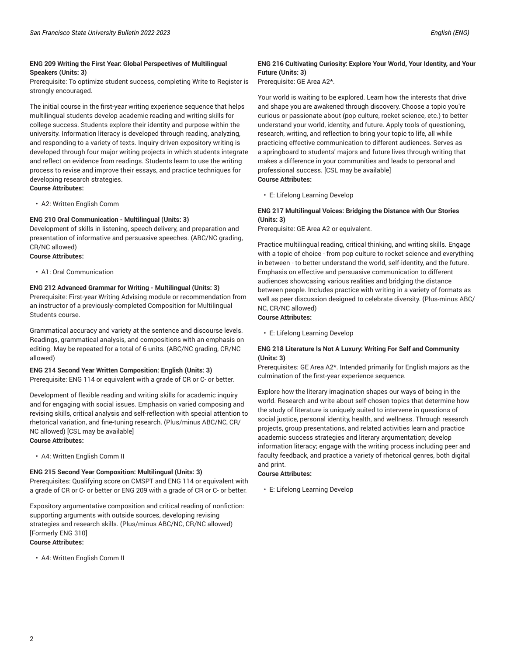Prerequisite: To optimize student success, completing Write to Register is strongly encouraged.

The initial course in the first-year writing experience sequence that helps multilingual students develop academic reading and writing skills for college success. Students explore their identity and purpose within the university. Information literacy is developed through reading, analyzing, and responding to a variety of texts. Inquiry-driven expository writing is developed through four major writing projects in which students integrate and reflect on evidence from readings. Students learn to use the writing process to revise and improve their essays, and practice techniques for developing research strategies. **Course Attributes:**

• A2: Written English Comm

# **ENG 210 Oral Communication - Multilingual (Units: 3)**

Development of skills in listening, speech delivery, and preparation and presentation of informative and persuasive speeches. (ABC/NC grading, CR/NC allowed)

- **Course Attributes:**
	- A1: Oral Communication

# **ENG 212 Advanced Grammar for Writing - Multilingual (Units: 3)**

Prerequisite: First-year Writing Advising module or recommendation from an instructor of a previously-completed Composition for Multilingual Students course.

Grammatical accuracy and variety at the sentence and discourse levels. Readings, grammatical analysis, and compositions with an emphasis on editing. May be repeated for a total of 6 units. (ABC/NC grading, CR/NC allowed)

#### **ENG 214 Second Year Written Composition: English (Units: 3)** Prerequisite: ENG 114 or equivalent with a grade of CR or C- or better.

Development of flexible reading and writing skills for academic inquiry and for engaging with social issues. Emphasis on varied composing and

revising skills, critical analysis and self-reflection with special attention to rhetorical variation, and fine-tuning research. (Plus/minus ABC/NC, CR/ NC allowed) [CSL may be available] **Course Attributes:**

• A4: Written English Comm II

#### **ENG 215 Second Year Composition: Multilingual (Units: 3)**

Prerequisites: Qualifying score on CMSPT and ENG 114 or equivalent with a grade of CR or C- or better or ENG 209 with a grade of CR or C- or better.

Expository argumentative composition and critical reading of nonfiction: supporting arguments with outside sources, developing revising strategies and research skills. (Plus/minus ABC/NC, CR/NC allowed) [Formerly ENG 310] **Course Attributes:**

• A4: Written English Comm II

# **ENG 216 Cultivating Curiosity: Explore Your World, Your Identity, and Your Future (Units: 3)**

Prerequisite: GE Area A2\*.

Your world is waiting to be explored. Learn how the interests that drive and shape you are awakened through discovery. Choose a topic you're curious or passionate about (pop culture, rocket science, etc.) to better understand your world, identity, and future. Apply tools of questioning, research, writing, and reflection to bring your topic to life, all while practicing effective communication to different audiences. Serves as a springboard to students' majors and future lives through writing that makes a difference in your communities and leads to personal and professional success. [CSL may be available] **Course Attributes:**

• E: Lifelong Learning Develop

#### **ENG 217 Multilingual Voices: Bridging the Distance with Our Stories (Units: 3)**

Prerequisite: GE Area A2 or equivalent.

Practice multilingual reading, critical thinking, and writing skills. Engage with a topic of choice - from pop culture to rocket science and everything in between - to better understand the world, self-identity, and the future. Emphasis on effective and persuasive communication to different audiences showcasing various realities and bridging the distance between people. Includes practice with writing in a variety of formats as well as peer discussion designed to celebrate diversity. (Plus-minus ABC/ NC, CR/NC allowed)

# **Course Attributes:**

• E: Lifelong Learning Develop

# **ENG 218 Literature Is Not A Luxury: Writing For Self and Community (Units: 3)**

Prerequisites: GE Area A2\*. Intended primarily for English majors as the culmination of the first-year experience sequence.

Explore how the literary imagination shapes our ways of being in the world. Research and write about self-chosen topics that determine how the study of literature is uniquely suited to intervene in questions of social justice, personal identity, health, and wellness. Through research projects, group presentations, and related activities learn and practice academic success strategies and literary argumentation; develop information literacy; engage with the writing process including peer and faculty feedback, and practice a variety of rhetorical genres, both digital and print.

#### **Course Attributes:**

• E: Lifelong Learning Develop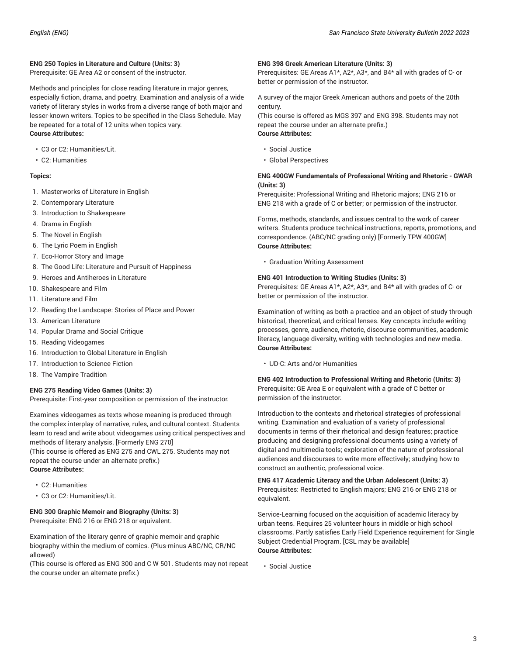# **ENG 250 Topics in Literature and Culture (Units: 3)**

Prerequisite: GE Area A2 or consent of the instructor.

Methods and principles for close reading literature in major genres, especially fiction, drama, and poetry. Examination and analysis of a wide variety of literary styles in works from a diverse range of both major and lesser-known writers. Topics to be specified in the Class Schedule. May be repeated for a total of 12 units when topics vary. **Course Attributes:**

- C3 or C2: Humanities/Lit.
- C2: Humanities

#### **Topics:**

- 1. Masterworks of Literature in English
- 2. Contemporary Literature
- 3. Introduction to Shakespeare
- 4. Drama in English
- 5. The Novel in English
- 6. The Lyric Poem in English
- 7. Eco-Horror Story and Image
- 8. The Good Life: Literature and Pursuit of Happiness
- 9. Heroes and Antiheroes in Literature
- 10. Shakespeare and Film
- 11. Literature and Film
- 12. Reading the Landscape: Stories of Place and Power
- 13. American Literature
- 14. Popular Drama and Social Critique
- 15. Reading Videogames
- 16. Introduction to Global Literature in English
- 17. Introduction to Science Fiction
- 18. The Vampire Tradition

#### **ENG 275 Reading Video Games (Units: 3)**

Prerequisite: First-year composition or permission of the instructor.

Examines videogames as texts whose meaning is produced through the complex interplay of narrative, rules, and cultural context. Students learn to read and write about videogames using critical perspectives and methods of literary analysis. [Formerly ENG 270]

(This course is offered as ENG 275 and CWL 275. Students may not repeat the course under an alternate prefix.) **Course Attributes:**

- C2: Humanities
- C3 or C2: Humanities/Lit.

#### **ENG 300 Graphic Memoir and Biography (Units: 3)**

Prerequisite: ENG 216 or ENG 218 or equivalent.

Examination of the literary genre of graphic memoir and graphic biography within the medium of comics. (Plus-minus ABC/NC, CR/NC allowed)

(This course is offered as ENG 300 and C W 501. Students may not repeat the course under an alternate prefix.)

#### **ENG 398 Greek American Literature (Units: 3)**

Prerequisites: GE Areas A1\*, A2\*, A3\*, and B4\* all with grades of C- or better or permission of the instructor.

A survey of the major Greek American authors and poets of the 20th century.

(This course is offered as MGS 397 and ENG 398. Students may not repeat the course under an alternate prefix.)

# **Course Attributes:**

- Social Justice
- Global Perspectives

#### **ENG 400GW Fundamentals of Professional Writing and Rhetoric - GWAR (Units: 3)**

Prerequisite: Professional Writing and Rhetoric majors; ENG 216 or ENG 218 with a grade of C or better; or permission of the instructor.

Forms, methods, standards, and issues central to the work of career writers. Students produce technical instructions, reports, promotions, and correspondence. (ABC/NC grading only) [Formerly TPW 400GW] **Course Attributes:**

• Graduation Writing Assessment

# **ENG 401 Introduction to Writing Studies (Units: 3)**

Prerequisites: GE Areas A1\*, A2\*, A3\*, and B4\* all with grades of C- or better or permission of the instructor.

Examination of writing as both a practice and an object of study through historical, theoretical, and critical lenses. Key concepts include writing processes, genre, audience, rhetoric, discourse communities, academic literacy, language diversity, writing with technologies and new media. **Course Attributes:**

• UD-C: Arts and/or Humanities

**ENG 402 Introduction to Professional Writing and Rhetoric (Units: 3)** Prerequisite: GE Area E or equivalent with a grade of C better or permission of the instructor.

Introduction to the contexts and rhetorical strategies of professional writing. Examination and evaluation of a variety of professional documents in terms of their rhetorical and design features; practice producing and designing professional documents using a variety of digital and multimedia tools; exploration of the nature of professional audiences and discourses to write more effectively; studying how to construct an authentic, professional voice.

**ENG 417 Academic Literacy and the Urban Adolescent (Units: 3)** Prerequisites: Restricted to English majors; ENG 216 or ENG 218 or equivalent.

Service-Learning focused on the acquisition of academic literacy by urban teens. Requires 25 volunteer hours in middle or high school classrooms. Partly satisfies Early Field Experience requirement for Single Subject Credential Program. [CSL may be available] **Course Attributes:**

• Social Justice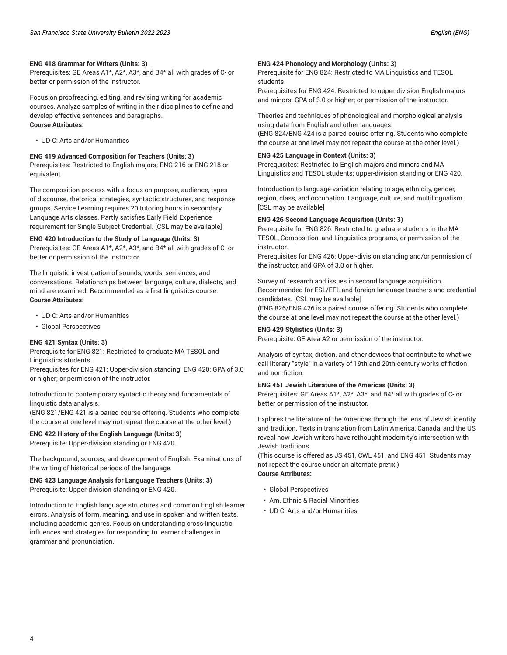#### **ENG 418 Grammar for Writers (Units: 3)**

Prerequisites: GE Areas A1\*, A2\*, A3\*, and B4\* all with grades of C- or better or permission of the instructor.

Focus on proofreading, editing, and revising writing for academic courses. Analyze samples of writing in their disciplines to define and develop effective sentences and paragraphs. **Course Attributes:**

• UD-C: Arts and/or Humanities

**ENG 419 Advanced Composition for Teachers (Units: 3)**

Prerequisites: Restricted to English majors; ENG 216 or ENG 218 or equivalent.

The composition process with a focus on purpose, audience, types of discourse, rhetorical strategies, syntactic structures, and response groups. Service Learning requires 20 tutoring hours in secondary Language Arts classes. Partly satisfies Early Field Experience requirement for Single Subject Credential. [CSL may be available]

#### **ENG 420 Introduction to the Study of Language (Units: 3)**

Prerequisites: GE Areas A1\*, A2\*, A3\*, and B4\* all with grades of C- or better or permission of the instructor.

The linguistic investigation of sounds, words, sentences, and conversations. Relationships between language, culture, dialects, and mind are examined. Recommended as a first linguistics course. **Course Attributes:**

- UD-C: Arts and/or Humanities
- Global Perspectives

#### **ENG 421 Syntax (Units: 3)**

Prerequisite for ENG 821: Restricted to graduate MA TESOL and Linguistics students.

Prerequisites for ENG 421: Upper-division standing; ENG 420; GPA of 3.0 or higher; or permission of the instructor.

Introduction to contemporary syntactic theory and fundamentals of linguistic data analysis.

(ENG 821/ENG 421 is a paired course offering. Students who complete the course at one level may not repeat the course at the other level.)

**ENG 422 History of the English Language (Units: 3)** Prerequisite: Upper-division standing or ENG 420.

The background, sources, and development of English. Examinations of the writing of historical periods of the language.

#### **ENG 423 Language Analysis for Language Teachers (Units: 3)** Prerequisite: Upper-division standing or ENG 420.

Introduction to English language structures and common English learner errors. Analysis of form, meaning, and use in spoken and written texts, including academic genres. Focus on understanding cross-linguistic influences and strategies for responding to learner challenges in grammar and pronunciation.

#### **ENG 424 Phonology and Morphology (Units: 3)**

Prerequisite for ENG 824: Restricted to MA Linguistics and TESOL students.

Prerequisites for ENG 424: Restricted to upper-division English majors and minors; GPA of 3.0 or higher; or permission of the instructor.

Theories and techniques of phonological and morphological analysis using data from English and other languages.

(ENG 824/ENG 424 is a paired course offering. Students who complete the course at one level may not repeat the course at the other level.)

#### **ENG 425 Language in Context (Units: 3)**

Prerequisites: Restricted to English majors and minors and MA Linguistics and TESOL students; upper-division standing or ENG 420.

Introduction to language variation relating to age, ethnicity, gender, region, class, and occupation. Language, culture, and multilingualism. [CSL may be available]

#### **ENG 426 Second Language Acquisition (Units: 3)**

Prerequisite for ENG 826: Restricted to graduate students in the MA TESOL, Composition, and Linguistics programs, or permission of the instructor.

Prerequisites for ENG 426: Upper-division standing and/or permission of the instructor, and GPA of 3.0 or higher.

Survey of research and issues in second language acquisition. Recommended for ESL/EFL and foreign language teachers and credential candidates. [CSL may be available]

(ENG 826/ENG 426 is a paired course offering. Students who complete the course at one level may not repeat the course at the other level.)

#### **ENG 429 Stylistics (Units: 3)**

Prerequisite: GE Area A2 or permission of the instructor.

Analysis of syntax, diction, and other devices that contribute to what we call literary "style" in a variety of 19th and 20th-century works of fiction and non-fiction.

#### **ENG 451 Jewish Literature of the Americas (Units: 3)**

Prerequisites: GE Areas A1\*, A2\*, A3\*, and B4\* all with grades of C- or better or permission of the instructor.

Explores the literature of the Americas through the lens of Jewish identity and tradition. Texts in translation from Latin America, Canada, and the US reveal how Jewish writers have rethought modernity's intersection with Jewish traditions.

(This course is offered as JS 451, CWL 451, and ENG 451. Students may not repeat the course under an alternate prefix.) **Course Attributes:**

- Global Perspectives
- Am. Ethnic & Racial Minorities
- UD-C: Arts and/or Humanities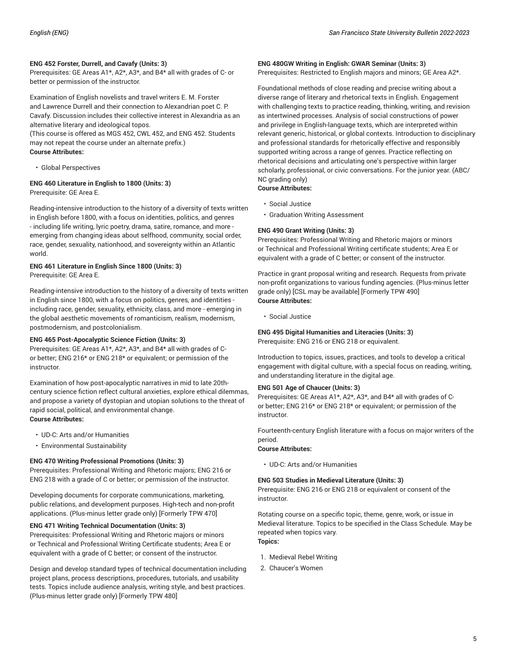#### **ENG 452 Forster, Durrell, and Cavafy (Units: 3)**

Prerequisites: GE Areas A1\*, A2\*, A3\*, and B4\* all with grades of C- or better or permission of the instructor.

Examination of English novelists and travel writers E. M. Forster and Lawrence Durrell and their connection to Alexandrian poet C. P. Cavafy. Discussion includes their collective interest in Alexandria as an alternative literary and ideological topos.

(This course is offered as MGS 452, CWL 452, and ENG 452. Students may not repeat the course under an alternate prefix.) **Course Attributes:**

• Global Perspectives

#### **ENG 460 Literature in English to 1800 (Units: 3)** Prerequisite: GE Area E.

Reading-intensive introduction to the history of a diversity of texts written in English before 1800, with a focus on identities, politics, and genres - including life writing, lyric poetry, drama, satire, romance, and more emerging from changing ideas about selfhood, community, social order, race, gender, sexuality, nationhood, and sovereignty within an Atlantic world.

# **ENG 461 Literature in English Since 1800 (Units: 3)**

Prerequisite: GE Area E.

Reading-intensive introduction to the history of a diversity of texts written in English since 1800, with a focus on politics, genres, and identities including race, gender, sexuality, ethnicity, class, and more - emerging in the global aesthetic movements of romanticism, realism, modernism, postmodernism, and postcolonialism.

#### **ENG 465 Post-Apocalyptic Science Fiction (Units: 3)**

Prerequisites: GE Areas A1\*, A2\*, A3\*, and B4\* all with grades of Cor better; ENG 216\* or ENG 218\* or equivalent; or permission of the instructor.

Examination of how post-apocalyptic narratives in mid to late 20thcentury science fiction reflect cultural anxieties, explore ethical dilemmas, and propose a variety of dystopian and utopian solutions to the threat of rapid social, political, and environmental change. **Course Attributes:**

- UD-C: Arts and/or Humanities
- Environmental Sustainability

#### **ENG 470 Writing Professional Promotions (Units: 3)**

Prerequisites: Professional Writing and Rhetoric majors; ENG 216 or ENG 218 with a grade of C or better; or permission of the instructor.

Developing documents for corporate communications, marketing, public relations, and development purposes. High-tech and non-profit applications. (Plus-minus letter grade only) [Formerly TPW 470]

#### **ENG 471 Writing Technical Documentation (Units: 3)**

Prerequisites: Professional Writing and Rhetoric majors or minors or Technical and Professional Writing Certificate students; Area E or equivalent with a grade of C better; or consent of the instructor.

Design and develop standard types of technical documentation including project plans, process descriptions, procedures, tutorials, and usability tests. Topics include audience analysis, writing style, and best practices. (Plus-minus letter grade only) [Formerly TPW 480]

#### **ENG 480GW Writing in English: GWAR Seminar (Units: 3)**

Prerequisites: Restricted to English majors and minors; GE Area A2\*.

Foundational methods of close reading and precise writing about a diverse range of literary and rhetorical texts in English. Engagement with challenging texts to practice reading, thinking, writing, and revision as intertwined processes. Analysis of social constructions of power and privilege in English-language texts, which are interpreted within relevant generic, historical, or global contexts. Introduction to disciplinary and professional standards for rhetorically effective and responsibly supported writing across a range of genres. Practice reflecting on rhetorical decisions and articulating one's perspective within larger scholarly, professional, or civic conversations. For the junior year. (ABC/ NC grading only)

#### **Course Attributes:**

- Social Justice
- Graduation Writing Assessment

# **ENG 490 Grant Writing (Units: 3)**

Prerequisites: Professional Writing and Rhetoric majors or minors or Technical and Professional Writing certificate students; Area E or equivalent with a grade of C better; or consent of the instructor.

Practice in grant proposal writing and research. Requests from private non-profit organizations to various funding agencies. (Plus-minus letter grade only) [CSL may be available] [Formerly TPW 490] **Course Attributes:**

• Social Justice

#### **ENG 495 Digital Humanities and Literacies (Units: 3)** Prerequisite: ENG 216 or ENG 218 or equivalent.

Introduction to topics, issues, practices, and tools to develop a critical engagement with digital culture, with a special focus on reading, writing, and understanding literature in the digital age.

#### **ENG 501 Age of Chaucer (Units: 3)**

Prerequisites: GE Areas A1\*, A2\*, A3\*, and B4\* all with grades of Cor better; ENG 216\* or ENG 218\* or equivalent; or permission of the instructor.

Fourteenth-century English literature with a focus on major writers of the period.

#### **Course Attributes:**

• UD-C: Arts and/or Humanities

#### **ENG 503 Studies in Medieval Literature (Units: 3)**

Prerequisite: ENG 216 or ENG 218 or equivalent or consent of the instructor.

Rotating course on a specific topic, theme, genre, work, or issue in Medieval literature. Topics to be specified in the Class Schedule. May be repeated when topics vary. **Topics:**

- 1. Medieval Rebel Writing
- 2. Chaucer's Women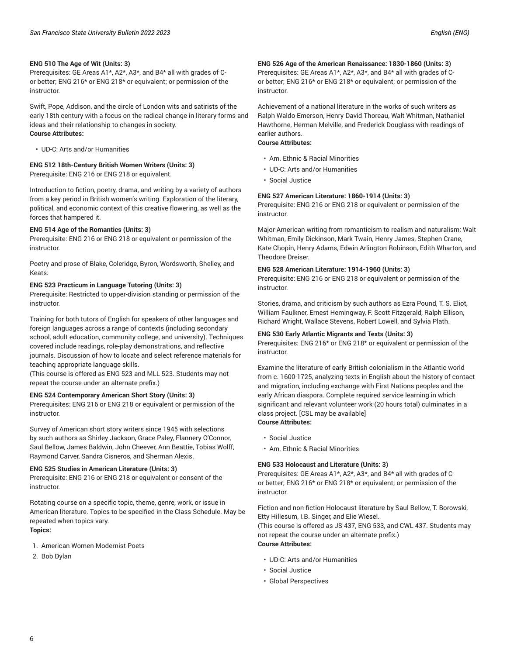#### **ENG 510 The Age of Wit (Units: 3)**

Prerequisites: GE Areas A1\*, A2\*, A3\*, and B4\* all with grades of Cor better; ENG 216\* or ENG 218\* or equivalent; or permission of the instructor.

Swift, Pope, Addison, and the circle of London wits and satirists of the early 18th century with a focus on the radical change in literary forms and ideas and their relationship to changes in society. **Course Attributes:**

• UD-C: Arts and/or Humanities

#### **ENG 512 18th-Century British Women Writers (Units: 3)**

Prerequisite: ENG 216 or ENG 218 or equivalent.

Introduction to fiction, poetry, drama, and writing by a variety of authors from a key period in British women's writing. Exploration of the literary, political, and economic context of this creative flowering, as well as the forces that hampered it.

#### **ENG 514 Age of the Romantics (Units: 3)**

Prerequisite: ENG 216 or ENG 218 or equivalent or permission of the instructor.

Poetry and prose of Blake, Coleridge, Byron, Wordsworth, Shelley, and Keats.

#### **ENG 523 Practicum in Language Tutoring (Units: 3)**

Prerequisite: Restricted to upper-division standing or permission of the instructor.

Training for both tutors of English for speakers of other languages and foreign languages across a range of contexts (including secondary school, adult education, community college, and university). Techniques covered include readings, role-play demonstrations, and reflective journals. Discussion of how to locate and select reference materials for teaching appropriate language skills.

(This course is offered as ENG 523 and MLL 523. Students may not repeat the course under an alternate prefix.)

#### **ENG 524 Contemporary American Short Story (Units: 3)**

Prerequisites: ENG 216 or ENG 218 or equivalent or permission of the instructor.

Survey of American short story writers since 1945 with selections by such authors as Shirley Jackson, Grace Paley, Flannery O'Connor, Saul Bellow, James Baldwin, John Cheever, Ann Beattie, Tobias Wolff, Raymond Carver, Sandra Cisneros, and Sherman Alexis.

#### **ENG 525 Studies in American Literature (Units: 3)**

Prerequisite: ENG 216 or ENG 218 or equivalent or consent of the instructor.

Rotating course on a specific topic, theme, genre, work, or issue in American literature. Topics to be specified in the Class Schedule. May be repeated when topics vary. **Topics:**

1. American Women Modernist Poets

2. Bob Dylan

#### **ENG 526 Age of the American Renaissance: 1830-1860 (Units: 3)**

Prerequisites: GE Areas A1\*, A2\*, A3\*, and B4\* all with grades of Cor better; ENG 216\* or ENG 218\* or equivalent; or permission of the instructor.

Achievement of a national literature in the works of such writers as Ralph Waldo Emerson, Henry David Thoreau, Walt Whitman, Nathaniel Hawthorne, Herman Melville, and Frederick Douglass with readings of earlier authors.

# **Course Attributes:**

- Am. Ethnic & Racial Minorities
- UD-C: Arts and/or Humanities
- Social Justice

#### **ENG 527 American Literature: 1860-1914 (Units: 3)**

Prerequisite: ENG 216 or ENG 218 or equivalent or permission of the instructor.

Major American writing from romanticism to realism and naturalism: Walt Whitman, Emily Dickinson, Mark Twain, Henry James, Stephen Crane, Kate Chopin, Henry Adams, Edwin Arlington Robinson, Edith Wharton, and Theodore Dreiser.

#### **ENG 528 American Literature: 1914-1960 (Units: 3)**

Prerequisite: ENG 216 or ENG 218 or equivalent or permission of the instructor.

Stories, drama, and criticism by such authors as Ezra Pound, T. S. Eliot, William Faulkner, Ernest Hemingway, F. Scott Fitzgerald, Ralph Ellison, Richard Wright, Wallace Stevens, Robert Lowell, and Sylvia Plath.

#### **ENG 530 Early Atlantic Migrants and Texts (Units: 3)**

Prerequisites: ENG 216\* or ENG 218\* or equivalent or permission of the instructor.

Examine the literature of early British colonialism in the Atlantic world from c. 1600-1725, analyzing texts in English about the history of contact and migration, including exchange with First Nations peoples and the early African diaspora. Complete required service learning in which significant and relevant volunteer work (20 hours total) culminates in a class project. [CSL may be available] **Course Attributes:**

- Social Justice
- Am. Ethnic & Racial Minorities

#### **ENG 533 Holocaust and Literature (Units: 3)**

Prerequisites: GE Areas A1\*, A2\*, A3\*, and B4\* all with grades of Cor better; ENG 216\* or ENG 218\* or equivalent; or permission of the instructor.

Fiction and non-fiction Holocaust literature by Saul Bellow, T. Borowski, Etty Hillesum, I.B. Singer, and Elie Wiesel.

(This course is offered as JS 437, ENG 533, and CWL 437. Students may not repeat the course under an alternate prefix.)

#### **Course Attributes:**

- UD-C: Arts and/or Humanities
- Social Justice
- Global Perspectives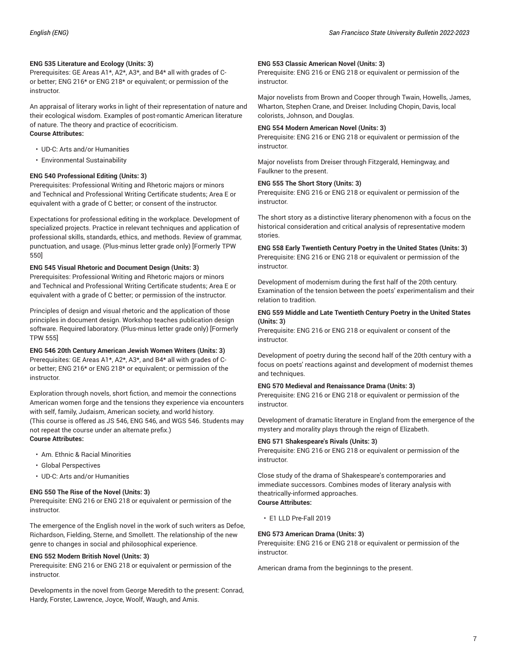#### **ENG 535 Literature and Ecology (Units: 3)**

Prerequisites: GE Areas A1\*, A2\*, A3\*, and B4\* all with grades of Cor better; ENG 216\* or ENG 218\* or equivalent; or permission of the instructor.

An appraisal of literary works in light of their representation of nature and their ecological wisdom. Examples of post-romantic American literature of nature. The theory and practice of ecocriticism. **Course Attributes:**

- UD-C: Arts and/or Humanities
- Environmental Sustainability

# **ENG 540 Professional Editing (Units: 3)**

Prerequisites: Professional Writing and Rhetoric majors or minors and Technical and Professional Writing Certificate students; Area E or equivalent with a grade of C better; or consent of the instructor.

Expectations for professional editing in the workplace. Development of specialized projects. Practice in relevant techniques and application of professional skills, standards, ethics, and methods. Review of grammar, punctuation, and usage. (Plus-minus letter grade only) [Formerly TPW 550]

#### **ENG 545 Visual Rhetoric and Document Design (Units: 3)**

Prerequisites: Professional Writing and Rhetoric majors or minors and Technical and Professional Writing Certificate students; Area E or equivalent with a grade of C better; or permission of the instructor.

Principles of design and visual rhetoric and the application of those principles in document design. Workshop teaches publication design software. Required laboratory. (Plus-minus letter grade only) [Formerly TPW 555]

# **ENG 546 20th Century American Jewish Women Writers (Units: 3)**

Prerequisites: GE Areas A1\*, A2\*, A3\*, and B4\* all with grades of Cor better; ENG 216\* or ENG 218\* or equivalent; or permission of the instructor.

Exploration through novels, short fiction, and memoir the connections American women forge and the tensions they experience via encounters with self, family, Judaism, American society, and world history. (This course is offered as JS 546, ENG 546, and WGS 546. Students may not repeat the course under an alternate prefix.) **Course Attributes:**

- Am. Ethnic & Racial Minorities
- Global Perspectives
- UD-C: Arts and/or Humanities

#### **ENG 550 The Rise of the Novel (Units: 3)**

Prerequisite: ENG 216 or ENG 218 or equivalent or permission of the instructor.

The emergence of the English novel in the work of such writers as Defoe, Richardson, Fielding, Sterne, and Smollett. The relationship of the new genre to changes in social and philosophical experience.

#### **ENG 552 Modern British Novel (Units: 3)**

Prerequisite: ENG 216 or ENG 218 or equivalent or permission of the instructor.

Developments in the novel from George Meredith to the present: Conrad, Hardy, Forster, Lawrence, Joyce, Woolf, Waugh, and Amis.

#### **ENG 553 Classic American Novel (Units: 3)**

Prerequisite: ENG 216 or ENG 218 or equivalent or permission of the instructor.

Major novelists from Brown and Cooper through Twain, Howells, James, Wharton, Stephen Crane, and Dreiser. Including Chopin, Davis, local colorists, Johnson, and Douglas.

#### **ENG 554 Modern American Novel (Units: 3)**

Prerequisite: ENG 216 or ENG 218 or equivalent or permission of the instructor.

Major novelists from Dreiser through Fitzgerald, Hemingway, and Faulkner to the present.

#### **ENG 555 The Short Story (Units: 3)**

Prerequisite: ENG 216 or ENG 218 or equivalent or permission of the instructor.

The short story as a distinctive literary phenomenon with a focus on the historical consideration and critical analysis of representative modern stories.

**ENG 558 Early Twentieth Century Poetry in the United States (Units: 3)** Prerequisite: ENG 216 or ENG 218 or equivalent or permission of the instructor.

Development of modernism during the first half of the 20th century. Examination of the tension between the poets' experimentalism and their relation to tradition.

#### **ENG 559 Middle and Late Twentieth Century Poetry in the United States (Units: 3)**

Prerequisite: ENG 216 or ENG 218 or equivalent or consent of the instructor.

Development of poetry during the second half of the 20th century with a focus on poets' reactions against and development of modernist themes and techniques.

#### **ENG 570 Medieval and Renaissance Drama (Units: 3)**

Prerequisite: ENG 216 or ENG 218 or equivalent or permission of the instructor.

Development of dramatic literature in England from the emergence of the mystery and morality plays through the reign of Elizabeth.

#### **ENG 571 Shakespeare's Rivals (Units: 3)**

Prerequisite: ENG 216 or ENG 218 or equivalent or permission of the instructor.

Close study of the drama of Shakespeare's contemporaries and immediate successors. Combines modes of literary analysis with theatrically-informed approaches. **Course Attributes:**

• E1 LLD Pre-Fall 2019

#### **ENG 573 American Drama (Units: 3)**

Prerequisite: ENG 216 or ENG 218 or equivalent or permission of the instructor.

American drama from the beginnings to the present.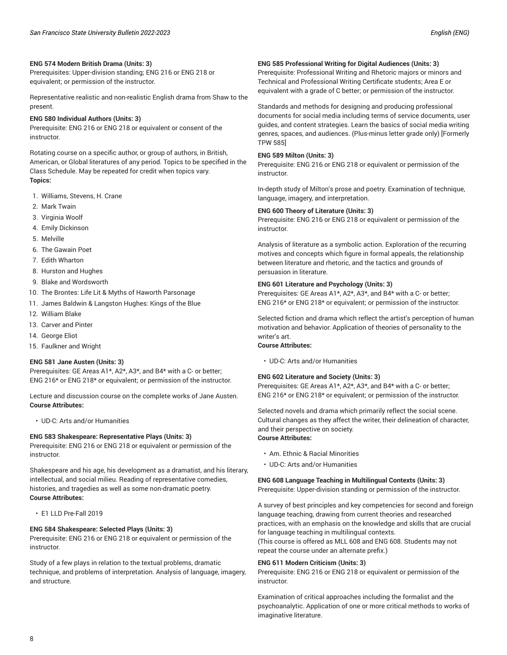Prerequisites: Upper-division standing; ENG 216 or ENG 218 or equivalent; or permission of the instructor.

Representative realistic and non-realistic English drama from Shaw to the present.

#### **ENG 580 Individual Authors (Units: 3)**

Prerequisite: ENG 216 or ENG 218 or equivalent or consent of the instructor.

Rotating course on a specific author, or group of authors, in British, American, or Global literatures of any period. Topics to be specified in the Class Schedule. May be repeated for credit when topics vary. **Topics:**

- 1. Williams, Stevens, H. Crane
- 2. Mark Twain
- 3. Virginia Woolf
- 4. Emily Dickinson
- 5. Melville
- 6. The Gawain Poet
- 7. Edith Wharton
- 8. Hurston and Hughes
- 9. Blake and Wordsworth
- 10. The Brontes: Life Lit & Myths of Haworth Parsonage
- 11. James Baldwin & Langston Hughes: Kings of the Blue
- 12. William Blake
- 13. Carver and Pinter
- 14. George Eliot
- 15. Faulkner and Wright

#### **ENG 581 Jane Austen (Units: 3)**

Prerequisites: GE Areas A1\*, A2\*, A3\*, and B4\* with a C- or better; ENG 216\* or ENG 218\* or equivalent; or permission of the instructor.

Lecture and discussion course on the complete works of Jane Austen. **Course Attributes:**

• UD-C: Arts and/or Humanities

#### **ENG 583 Shakespeare: Representative Plays (Units: 3)**

Prerequisite: ENG 216 or ENG 218 or equivalent or permission of the instructor.

Shakespeare and his age, his development as a dramatist, and his literary, intellectual, and social milieu. Reading of representative comedies, histories, and tragedies as well as some non-dramatic poetry. **Course Attributes:**

• E1 LLD Pre-Fall 2019

#### **ENG 584 Shakespeare: Selected Plays (Units: 3)**

Prerequisite: ENG 216 or ENG 218 or equivalent or permission of the instructor.

Study of a few plays in relation to the textual problems, dramatic technique, and problems of interpretation. Analysis of language, imagery, and structure.

#### **ENG 585 Professional Writing for Digital Audiences (Units: 3)**

Prerequisite: Professional Writing and Rhetoric majors or minors and Technical and Professional Writing Certificate students; Area E or equivalent with a grade of C better; or permission of the instructor.

#### Standards and methods for designing and producing professional

documents for social media including terms of service documents, user guides, and content strategies. Learn the basics of social media writing genres, spaces, and audiences. (Plus-minus letter grade only) [Formerly TPW 585]

#### **ENG 589 Milton (Units: 3)**

Prerequisite: ENG 216 or ENG 218 or equivalent or permission of the instructor.

In-depth study of Milton's prose and poetry. Examination of technique, language, imagery, and interpretation.

#### **ENG 600 Theory of Literature (Units: 3)**

Prerequisite: ENG 216 or ENG 218 or equivalent or permission of the instructor.

Analysis of literature as a symbolic action. Exploration of the recurring motives and concepts which figure in formal appeals, the relationship between literature and rhetoric, and the tactics and grounds of persuasion in literature.

#### **ENG 601 Literature and Psychology (Units: 3)**

Prerequisites: GE Areas A1\*, A2\*, A3\*, and B4\* with a C- or better; ENG 216\* or ENG 218\* or equivalent; or permission of the instructor.

Selected fiction and drama which reflect the artist's perception of human motivation and behavior. Application of theories of personality to the writer's art.

# **Course Attributes:**

• UD-C: Arts and/or Humanities

### **ENG 602 Literature and Society (Units: 3)**

Prerequisites: GE Areas A1\*, A2\*, A3\*, and B4\* with a C- or better; ENG 216\* or ENG 218\* or equivalent; or permission of the instructor.

Selected novels and drama which primarily reflect the social scene. Cultural changes as they affect the writer, their delineation of character, and their perspective on society. **Course Attributes:**

- Am. Ethnic & Racial Minorities
- UD-C: Arts and/or Humanities

# **ENG 608 Language Teaching in Multilingual Contexts (Units: 3)**

Prerequisite: Upper-division standing or permission of the instructor.

A survey of best principles and key competencies for second and foreign language teaching, drawing from current theories and researched practices, with an emphasis on the knowledge and skills that are crucial for language teaching in multilingual contexts.

(This course is offered as MLL 608 and ENG 608. Students may not repeat the course under an alternate prefix.)

#### **ENG 611 Modern Criticism (Units: 3)**

Prerequisite: ENG 216 or ENG 218 or equivalent or permission of the instructor.

Examination of critical approaches including the formalist and the psychoanalytic. Application of one or more critical methods to works of imaginative literature.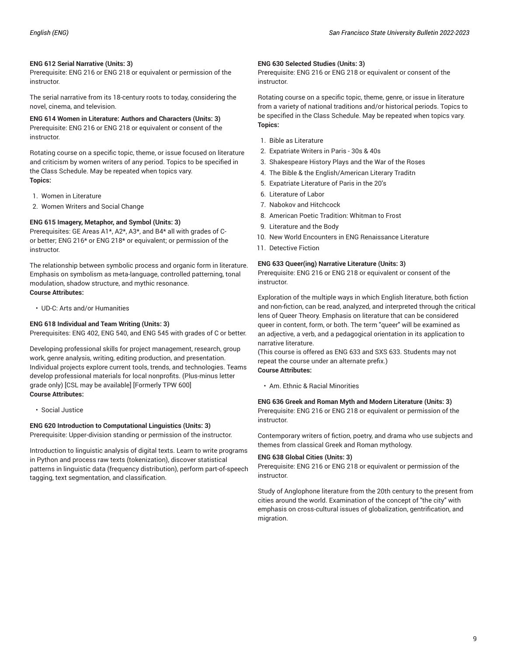#### **ENG 612 Serial Narrative (Units: 3)**

Prerequisite: ENG 216 or ENG 218 or equivalent or permission of the instructor.

The serial narrative from its 18-century roots to today, considering the novel, cinema, and television.

**ENG 614 Women in Literature: Authors and Characters (Units: 3)** Prerequisite: ENG 216 or ENG 218 or equivalent or consent of the instructor.

Rotating course on a specific topic, theme, or issue focused on literature and criticism by women writers of any period. Topics to be specified in the Class Schedule. May be repeated when topics vary. **Topics:**

- 1. Women in Literature
- 2. Women Writers and Social Change

#### **ENG 615 Imagery, Metaphor, and Symbol (Units: 3)**

Prerequisites: GE Areas A1\*, A2\*, A3\*, and B4\* all with grades of Cor better; ENG 216\* or ENG 218\* or equivalent; or permission of the instructor.

The relationship between symbolic process and organic form in literature. Emphasis on symbolism as meta-language, controlled patterning, tonal modulation, shadow structure, and mythic resonance. **Course Attributes:**

• UD-C: Arts and/or Humanities

# **ENG 618 Individual and Team Writing (Units: 3)**

Prerequisites: ENG 402, ENG 540, and ENG 545 with grades of C or better.

Developing professional skills for project management, research, group work, genre analysis, writing, editing production, and presentation. Individual projects explore current tools, trends, and technologies. Teams develop professional materials for local nonprofits. (Plus-minus letter grade only) [CSL may be available] [Formerly TPW 600] **Course Attributes:**

• Social Justice

#### **ENG 620 Introduction to Computational Linguistics (Units: 3)**

Prerequisite: Upper-division standing or permission of the instructor.

Introduction to linguistic analysis of digital texts. Learn to write programs in Python and process raw texts (tokenization), discover statistical patterns in linguistic data (frequency distribution), perform part-of-speech tagging, text segmentation, and classification.

#### **ENG 630 Selected Studies (Units: 3)**

Prerequisite: ENG 216 or ENG 218 or equivalent or consent of the instructor.

Rotating course on a specific topic, theme, genre, or issue in literature from a variety of national traditions and/or historical periods. Topics to be specified in the Class Schedule. May be repeated when topics vary. **Topics:**

- 1. Bible as Literature
- 2. Expatriate Writers in Paris 30s & 40s
- 3. Shakespeare History Plays and the War of the Roses
- 4. The Bible & the English/American Literary Traditn
- 5. Expatriate Literature of Paris in the 20's
- 6. Literature of Labor
- 7. Nabokov and Hitchcock
- 8. American Poetic Tradition: Whitman to Frost
- 9. Literature and the Body
- 10. New World Encounters in ENG Renaissance Literature
- 11. Detective Fiction

#### **ENG 633 Queer(ing) Narrative Literature (Units: 3)**

Prerequisite: ENG 216 or ENG 218 or equivalent or consent of the instructor.

Exploration of the multiple ways in which English literature, both fiction and non-fiction, can be read, analyzed, and interpreted through the critical lens of Queer Theory. Emphasis on literature that can be considered queer in content, form, or both. The term "queer" will be examined as an adjective, a verb, and a pedagogical orientation in its application to narrative literature.

(This course is offered as ENG 633 and SXS 633. Students may not repeat the course under an alternate prefix.) **Course Attributes:**

• Am. Ethnic & Racial Minorities

#### **ENG 636 Greek and Roman Myth and Modern Literature (Units: 3)** Prerequisite: ENG 216 or ENG 218 or equivalent or permission of the instructor.

Contemporary writers of fiction, poetry, and drama who use subjects and themes from classical Greek and Roman mythology.

#### **ENG 638 Global Cities (Units: 3)**

Prerequisite: ENG 216 or ENG 218 or equivalent or permission of the instructor.

Study of Anglophone literature from the 20th century to the present from cities around the world. Examination of the concept of "the city" with emphasis on cross-cultural issues of globalization, gentrification, and migration.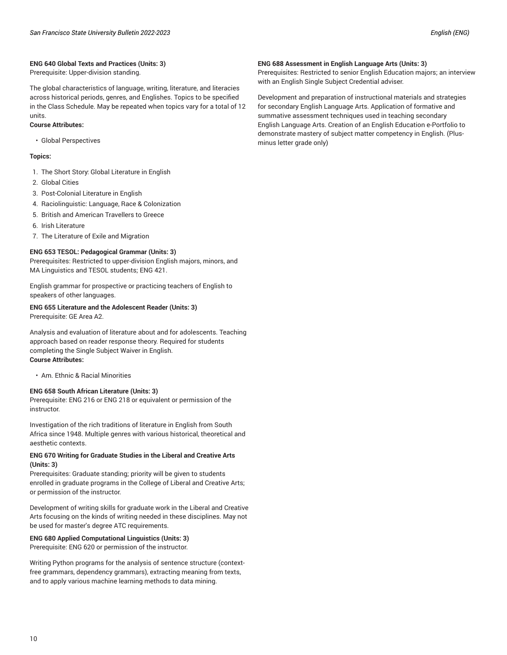#### **ENG 640 Global Texts and Practices (Units: 3)**

Prerequisite: Upper-division standing.

The global characteristics of language, writing, literature, and literacies across historical periods, genres, and Englishes. Topics to be specified in the Class Schedule. May be repeated when topics vary for a total of 12 units.

#### **Course Attributes:**

• Global Perspectives

#### **Topics:**

- 1. The Short Story: Global Literature in English
- 2. Global Cities
- 3. Post-Colonial Literature in English
- 4. Raciolinguistic: Language, Race & Colonization
- 5. British and American Travellers to Greece
- 6. Irish Literature
- 7. The Literature of Exile and Migration

#### **ENG 653 TESOL: Pedagogical Grammar (Units: 3)**

Prerequisites: Restricted to upper-division English majors, minors, and MA Linguistics and TESOL students; ENG 421.

English grammar for prospective or practicing teachers of English to speakers of other languages.

# **ENG 655 Literature and the Adolescent Reader (Units: 3)**

Prerequisite: GE Area A2.

Analysis and evaluation of literature about and for adolescents. Teaching approach based on reader response theory. Required for students completing the Single Subject Waiver in English. **Course Attributes:**

• Am. Ethnic & Racial Minorities

#### **ENG 658 South African Literature (Units: 3)**

Prerequisite: ENG 216 or ENG 218 or equivalent or permission of the instructor.

Investigation of the rich traditions of literature in English from South Africa since 1948. Multiple genres with various historical, theoretical and aesthetic contexts.

#### **ENG 670 Writing for Graduate Studies in the Liberal and Creative Arts (Units: 3)**

Prerequisites: Graduate standing; priority will be given to students enrolled in graduate programs in the College of Liberal and Creative Arts; or permission of the instructor.

Development of writing skills for graduate work in the Liberal and Creative Arts focusing on the kinds of writing needed in these disciplines. May not be used for master's degree ATC requirements.

#### **ENG 680 Applied Computational Linguistics (Units: 3)**

Prerequisite: ENG 620 or permission of the instructor.

Writing Python programs for the analysis of sentence structure (contextfree grammars, dependency grammars), extracting meaning from texts, and to apply various machine learning methods to data mining.

#### **ENG 688 Assessment in English Language Arts (Units: 3)**

Prerequisites: Restricted to senior English Education majors; an interview with an English Single Subject Credential adviser.

Development and preparation of instructional materials and strategies for secondary English Language Arts. Application of formative and summative assessment techniques used in teaching secondary English Language Arts. Creation of an English Education e-Portfolio to demonstrate mastery of subject matter competency in English. (Plusminus letter grade only)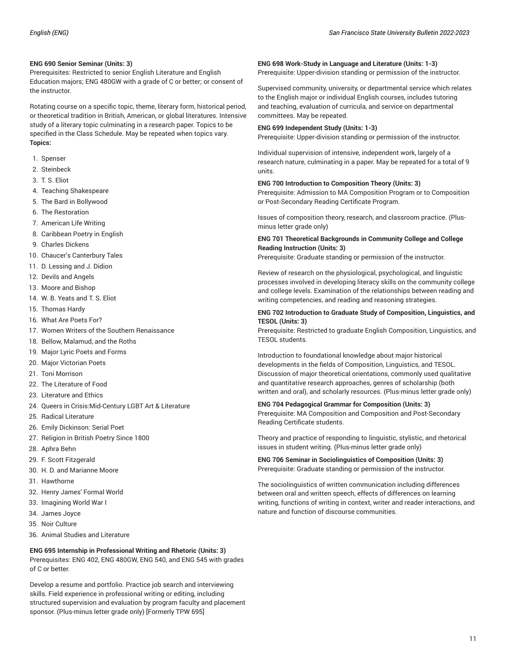#### **ENG 690 Senior Seminar (Units: 3)**

Prerequisites: Restricted to senior English Literature and English Education majors; ENG 480GW with a grade of C or better; or consent of the instructor.

Rotating course on a specific topic, theme, literary form, historical period, or theoretical tradition in British, American, or global literatures. Intensive study of a literary topic culminating in a research paper. Topics to be specified in the Class Schedule. May be repeated when topics vary. **Topics:**

- 1. Spenser
- 2. Steinbeck
- 3. T.S. Flint
- 4. Teaching Shakespeare
- 5. The Bard in Bollywood
- 6. The Restoration
- 7. American Life Writing
- 8. Caribbean Poetry in English
- 9. Charles Dickens
- 10. Chaucer's Canterbury Tales
- 11. D. Lessing and J. Didion
- 12. Devils and Angels
- 13. Moore and Bishop
- 14. W. B. Yeats and T. S. Eliot
- 15. Thomas Hardy
- 16. What Are Poets For?
- 17. Women Writers of the Southern Renaissance
- 18. Bellow, Malamud, and the Roths
- 19. Major Lyric Poets and Forms
- 20. Major Victorian Poets
- 21. Toni Morrison
- 22. The Literature of Food
- 23. Literature and Ethics
- 24. Queers in Crisis:Mid-Century LGBT Art & Literature
- 25. Radical Literature
- 26. Emily Dickinson: Serial Poet
- 27. Religion in British Poetry Since 1800
- 28. Aphra Behn
- 29. F. Scott Fitzgerald
- 30. H. D. and Marianne Moore
- 31. Hawthorne
- 32. Henry James' Formal World
- 33. Imagining World War I
- 34. James Joyce
- 35. Noir Culture
- 36. Animal Studies and Literature

**ENG 695 Internship in Professional Writing and Rhetoric (Units: 3)** Prerequisites: ENG 402, ENG 480GW, ENG 540, and ENG 545 with grades of C or better.

Develop a resume and portfolio. Practice job search and interviewing skills. Field experience in professional writing or editing, including structured supervision and evaluation by program faculty and placement sponsor. (Plus-minus letter grade only) [Formerly TPW 695]

#### **ENG 698 Work-Study in Language and Literature (Units: 1-3)**

Prerequisite: Upper-division standing or permission of the instructor.

Supervised community, university, or departmental service which relates to the English major or individual English courses, includes tutoring and teaching, evaluation of curricula, and service on departmental committees. May be repeated.

#### **ENG 699 Independent Study (Units: 1-3)**

Prerequisite: Upper-division standing or permission of the instructor.

Individual supervision of intensive, independent work, largely of a research nature, culminating in a paper. May be repeated for a total of 9 units.

#### **ENG 700 Introduction to Composition Theory (Units: 3)**

Prerequisite: Admission to MA Composition Program or to Composition or Post-Secondary Reading Certificate Program.

Issues of composition theory, research, and classroom practice. (Plusminus letter grade only)

#### **ENG 701 Theoretical Backgrounds in Community College and College Reading Instruction (Units: 3)**

Prerequisite: Graduate standing or permission of the instructor.

Review of research on the physiological, psychological, and linguistic processes involved in developing literacy skills on the community college and college levels. Examination of the relationships between reading and writing competencies, and reading and reasoning strategies.

#### **ENG 702 Introduction to Graduate Study of Composition, Linguistics, and TESOL (Units: 3)**

Prerequisite: Restricted to graduate English Composition, Linguistics, and TESOL students.

Introduction to foundational knowledge about major historical developments in the fields of Composition, Linguistics, and TESOL. Discussion of major theoretical orientations, commonly used qualitative and quantitative research approaches, genres of scholarship (both written and oral), and scholarly resources. (Plus-minus letter grade only)

#### **ENG 704 Pedagogical Grammar for Composition (Units: 3)**

Prerequisite: MA Composition and Composition and Post-Secondary Reading Certificate students.

Theory and practice of responding to linguistic, stylistic, and rhetorical issues in student writing. (Plus-minus letter grade only)

**ENG 706 Seminar in Sociolinguistics of Composition (Units: 3)** Prerequisite: Graduate standing or permission of the instructor.

The sociolinguistics of written communication including differences between oral and written speech, effects of differences on learning writing, functions of writing in context, writer and reader interactions, and nature and function of discourse communities.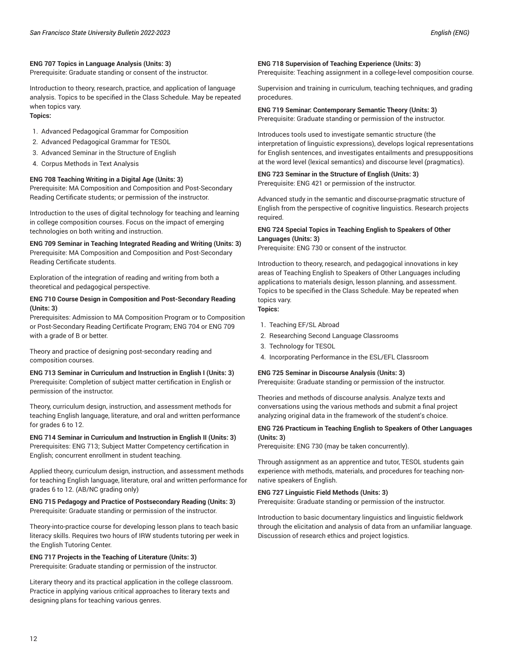Prerequisite: Graduate standing or consent of the instructor.

Introduction to theory, research, practice, and application of language analysis. Topics to be specified in the Class Schedule. May be repeated when topics vary.

# **Topics:**

- 1. Advanced Pedagogical Grammar for Composition
- 2. Advanced Pedagogical Grammar for TESOL
- 3. Advanced Seminar in the Structure of English
- 4. Corpus Methods in Text Analysis

#### **ENG 708 Teaching Writing in a Digital Age (Units: 3)**

Prerequisite: MA Composition and Composition and Post-Secondary Reading Certificate students; or permission of the instructor.

Introduction to the uses of digital technology for teaching and learning in college composition courses. Focus on the impact of emerging technologies on both writing and instruction.

# **ENG 709 Seminar in Teaching Integrated Reading and Writing (Units: 3)**

Prerequisite: MA Composition and Composition and Post-Secondary Reading Certificate students.

Exploration of the integration of reading and writing from both a theoretical and pedagogical perspective.

#### **ENG 710 Course Design in Composition and Post-Secondary Reading (Units: 3)**

Prerequisites: Admission to MA Composition Program or to Composition or Post-Secondary Reading Certificate Program; ENG 704 or ENG 709 with a grade of B or better.

Theory and practice of designing post-secondary reading and composition courses.

**ENG 713 Seminar in Curriculum and Instruction in English I (Units: 3)** Prerequisite: Completion of subject matter certification in English or permission of the instructor.

Theory, curriculum design, instruction, and assessment methods for teaching English language, literature, and oral and written performance for grades 6 to 12.

**ENG 714 Seminar in Curriculum and Instruction in English II (Units: 3)** Prerequisites: ENG 713; Subject Matter Competency certification in English; concurrent enrollment in student teaching.

Applied theory, curriculum design, instruction, and assessment methods for teaching English language, literature, oral and written performance for grades 6 to 12. (AB/NC grading only)

#### **ENG 715 Pedagogy and Practice of Postsecondary Reading (Units: 3)** Prerequisite: Graduate standing or permission of the instructor.

Theory-into-practice course for developing lesson plans to teach basic literacy skills. Requires two hours of IRW students tutoring per week in the English Tutoring Center.

#### **ENG 717 Projects in the Teaching of Literature (Units: 3)**

Prerequisite: Graduate standing or permission of the instructor.

Literary theory and its practical application in the college classroom. Practice in applying various critical approaches to literary texts and designing plans for teaching various genres.

#### **ENG 718 Supervision of Teaching Experience (Units: 3)**

Prerequisite: Teaching assignment in a college-level composition course.

Supervision and training in curriculum, teaching techniques, and grading procedures.

#### **ENG 719 Seminar: Contemporary Semantic Theory (Units: 3)**

Prerequisite: Graduate standing or permission of the instructor.

Introduces tools used to investigate semantic structure (the interpretation of linguistic expressions), develops logical representations for English sentences, and investigates entailments and presuppositions at the word level (lexical semantics) and discourse level (pragmatics).

#### **ENG 723 Seminar in the Structure of English (Units: 3)** Prerequisite: ENG 421 or permission of the instructor.

Advanced study in the semantic and discourse-pragmatic structure of English from the perspective of cognitive linguistics. Research projects required.

#### **ENG 724 Special Topics in Teaching English to Speakers of Other Languages (Units: 3)**

Prerequisite: ENG 730 or consent of the instructor.

Introduction to theory, research, and pedagogical innovations in key areas of Teaching English to Speakers of Other Languages including applications to materials design, lesson planning, and assessment. Topics to be specified in the Class Schedule. May be repeated when topics vary.

# **Topics:**

- 1. Teaching EF/SL Abroad
- 2. Researching Second Language Classrooms
- 3. Technology for TESOL
- 4. Incorporating Performance in the ESL/EFL Classroom

#### **ENG 725 Seminar in Discourse Analysis (Units: 3)**

Prerequisite: Graduate standing or permission of the instructor.

Theories and methods of discourse analysis. Analyze texts and conversations using the various methods and submit a final project analyzing original data in the framework of the student's choice.

#### **ENG 726 Practicum in Teaching English to Speakers of Other Languages (Units: 3)**

Prerequisite: ENG 730 (may be taken concurrently).

Through assignment as an apprentice and tutor, TESOL students gain experience with methods, materials, and procedures for teaching nonnative speakers of English.

#### **ENG 727 Linguistic Field Methods (Units: 3)**

Prerequisite: Graduate standing or permission of the instructor.

Introduction to basic documentary linguistics and linguistic fieldwork through the elicitation and analysis of data from an unfamiliar language. Discussion of research ethics and project logistics.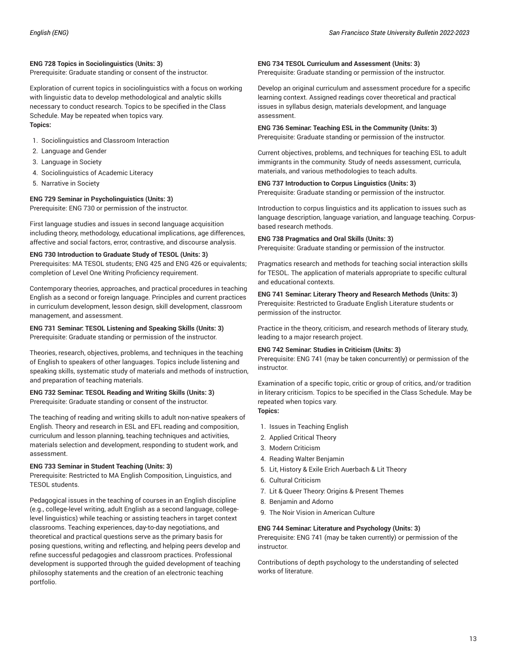#### **ENG 728 Topics in Sociolinguistics (Units: 3)**

Prerequisite: Graduate standing or consent of the instructor.

Exploration of current topics in sociolinguistics with a focus on working with linguistic data to develop methodological and analytic skills necessary to conduct research. Topics to be specified in the Class Schedule. May be repeated when topics vary. **Topics:**

- 1. Sociolinguistics and Classroom Interaction
- 2. Language and Gender
- 3. Language in Society
- 4. Sociolinguistics of Academic Literacy
- 5. Narrative in Society

#### **ENG 729 Seminar in Psycholinguistics (Units: 3)**

Prerequisite: ENG 730 or permission of the instructor.

First language studies and issues in second language acquisition including theory, methodology, educational implications, age differences, affective and social factors, error, contrastive, and discourse analysis.

#### **ENG 730 Introduction to Graduate Study of TESOL (Units: 3)**

Prerequisites: MA TESOL students; ENG 425 and ENG 426 or equivalents; completion of Level One Writing Proficiency requirement.

Contemporary theories, approaches, and practical procedures in teaching English as a second or foreign language. Principles and current practices in curriculum development, lesson design, skill development, classroom management, and assessment.

#### **ENG 731 Seminar: TESOL Listening and Speaking Skills (Units: 3)** Prerequisite: Graduate standing or permission of the instructor.

Theories, research, objectives, problems, and techniques in the teaching of English to speakers of other languages. Topics include listening and speaking skills, systematic study of materials and methods of instruction, and preparation of teaching materials.

#### **ENG 732 Seminar: TESOL Reading and Writing Skills (Units: 3)** Prerequisite: Graduate standing or consent of the instructor.

The teaching of reading and writing skills to adult non-native speakers of English. Theory and research in ESL and EFL reading and composition, curriculum and lesson planning, teaching techniques and activities, materials selection and development, responding to student work, and assessment.

#### **ENG 733 Seminar in Student Teaching (Units: 3)**

Prerequisite: Restricted to MA English Composition, Linguistics, and TESOL students.

Pedagogical issues in the teaching of courses in an English discipline (e.g., college-level writing, adult English as a second language, collegelevel linguistics) while teaching or assisting teachers in target context classrooms. Teaching experiences, day-to-day negotiations, and theoretical and practical questions serve as the primary basis for posing questions, writing and reflecting, and helping peers develop and refine successful pedagogies and classroom practices. Professional development is supported through the guided development of teaching philosophy statements and the creation of an electronic teaching portfolio.

#### **ENG 734 TESOL Curriculum and Assessment (Units: 3)**

Prerequisite: Graduate standing or permission of the instructor.

Develop an original curriculum and assessment procedure for a specific learning context. Assigned readings cover theoretical and practical issues in syllabus design, materials development, and language assessment.

#### **ENG 736 Seminar: Teaching ESL in the Community (Units: 3)**

Prerequisite: Graduate standing or permission of the instructor.

Current objectives, problems, and techniques for teaching ESL to adult immigrants in the community. Study of needs assessment, curricula, materials, and various methodologies to teach adults.

### **ENG 737 Introduction to Corpus Linguistics (Units: 3)**

Prerequisite: Graduate standing or permission of the instructor.

Introduction to corpus linguistics and its application to issues such as language description, language variation, and language teaching. Corpusbased research methods.

#### **ENG 738 Pragmatics and Oral Skills (Units: 3)**

Prerequisite: Graduate standing or permission of the instructor.

Pragmatics research and methods for teaching social interaction skills for TESOL. The application of materials appropriate to specific cultural and educational contexts.

**ENG 741 Seminar: Literary Theory and Research Methods (Units: 3)** Prerequisite: Restricted to Graduate English Literature students or permission of the instructor.

Practice in the theory, criticism, and research methods of literary study, leading to a major research project.

#### **ENG 742 Seminar: Studies in Criticism (Units: 3)**

Prerequisite: ENG 741 (may be taken concurrently) or permission of the instructor.

Examination of a specific topic, critic or group of critics, and/or tradition in literary criticism. Topics to be specified in the Class Schedule. May be repeated when topics vary. **Topics:**

- 1. Issues in Teaching English
- 2. Applied Critical Theory
- 3. Modern Criticism
- 4. Reading Walter Benjamin
- 5. Lit, History & Exile Erich Auerbach & Lit Theory
- 6. Cultural Criticism
- 7. Lit & Queer Theory: Origins & Present Themes
- 8. Benjamin and Adorno
- 9. The Noir Vision in American Culture

#### **ENG 744 Seminar: Literature and Psychology (Units: 3)**

Prerequisite: ENG 741 (may be taken currently) or permission of the instructor.

Contributions of depth psychology to the understanding of selected works of literature.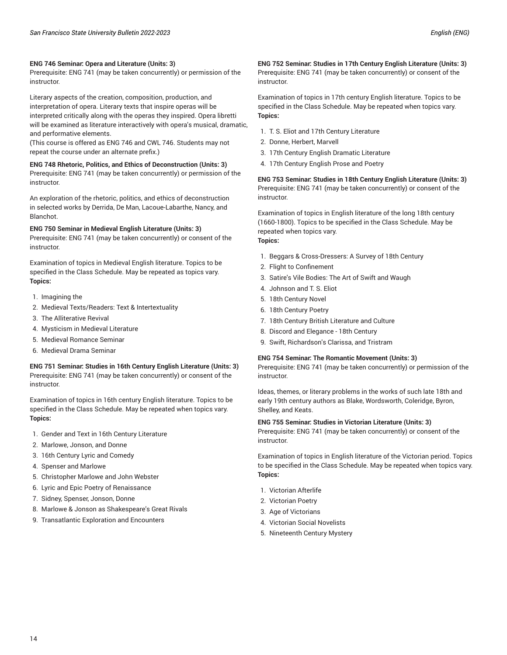#### **ENG 746 Seminar: Opera and Literature (Units: 3)**

Prerequisite: ENG 741 (may be taken concurrently) or permission of the instructor.

Literary aspects of the creation, composition, production, and interpretation of opera. Literary texts that inspire operas will be interpreted critically along with the operas they inspired. Opera libretti will be examined as literature interactively with opera's musical, dramatic, and performative elements.

(This course is offered as ENG 746 and CWL 746. Students may not repeat the course under an alternate prefix.)

### **ENG 748 Rhetoric, Politics, and Ethics of Deconstruction (Units: 3)** Prerequisite: ENG 741 (may be taken concurrently) or permission of the

An exploration of the rhetoric, politics, and ethics of deconstruction in selected works by Derrida, De Man, Lacoue-Labarthe, Nancy, and Blanchot.

#### **ENG 750 Seminar in Medieval English Literature (Units: 3)**

Prerequisite: ENG 741 (may be taken concurrently) or consent of the instructor.

Examination of topics in Medieval English literature. Topics to be specified in the Class Schedule. May be repeated as topics vary. **Topics:**

1. Imagining the

instructor.

- 2. Medieval Texts/Readers: Text & Intertextuality
- 3. The Alliterative Revival
- 4. Mysticism in Medieval Literature
- 5. Medieval Romance Seminar
- 6. Medieval Drama Seminar

#### **ENG 751 Seminar: Studies in 16th Century English Literature (Units: 3)** Prerequisite: ENG 741 (may be taken concurrently) or consent of the instructor.

Examination of topics in 16th century English literature. Topics to be specified in the Class Schedule. May be repeated when topics vary. **Topics:**

- 1. Gender and Text in 16th Century Literature
- 2. Marlowe, Jonson, and Donne
- 3. 16th Century Lyric and Comedy
- 4. Spenser and Marlowe
- 5. Christopher Marlowe and John Webster
- 6. Lyric and Epic Poetry of Renaissance
- 7. Sidney, Spenser, Jonson, Donne
- 8. Marlowe & Jonson as Shakespeare's Great Rivals
- 9. Transatlantic Exploration and Encounters

#### **ENG 752 Seminar: Studies in 17th Century English Literature (Units: 3)**

Prerequisite: ENG 741 (may be taken concurrently) or consent of the instructor.

Examination of topics in 17th century English literature. Topics to be specified in the Class Schedule. May be repeated when topics vary. **Topics:**

- 1. T. S. Eliot and 17th Century Literature
- 2. Donne, Herbert, Marvell
- 3. 17th Century English Dramatic Literature
- 4. 17th Century English Prose and Poetry

#### **ENG 753 Seminar: Studies in 18th Century English Literature (Units: 3)** Prerequisite: ENG 741 (may be taken concurrently) or consent of the

instructor.

Examination of topics in English literature of the long 18th century (1660-1800). Topics to be specified in the Class Schedule. May be repeated when topics vary. **Topics:**

- 1. Beggars & Cross-Dressers: A Survey of 18th Century
- 2. Flight to Confinement
- 3. Satire's Vile Bodies: The Art of Swift and Waugh
- 4. Johnson and T. S. Eliot
- 5. 18th Century Novel
- 6. 18th Century Poetry
- 7. 18th Century British Literature and Culture
- 8. Discord and Elegance 18th Century
- 9. Swift, Richardson's Clarissa, and Tristram

#### **ENG 754 Seminar: The Romantic Movement (Units: 3)**

Prerequisite: ENG 741 (may be taken concurrently) or permission of the instructor.

Ideas, themes, or literary problems in the works of such late 18th and early 19th century authors as Blake, Wordsworth, Coleridge, Byron, Shelley, and Keats.

#### **ENG 755 Seminar: Studies in Victorian Literature (Units: 3)**

Prerequisite: ENG 741 (may be taken concurrently) or consent of the instructor.

Examination of topics in English literature of the Victorian period. Topics to be specified in the Class Schedule. May be repeated when topics vary. **Topics:**

- 1. Victorian Afterlife
- 2. Victorian Poetry
- 3. Age of Victorians
- 4. Victorian Social Novelists
- 5. Nineteenth Century Mystery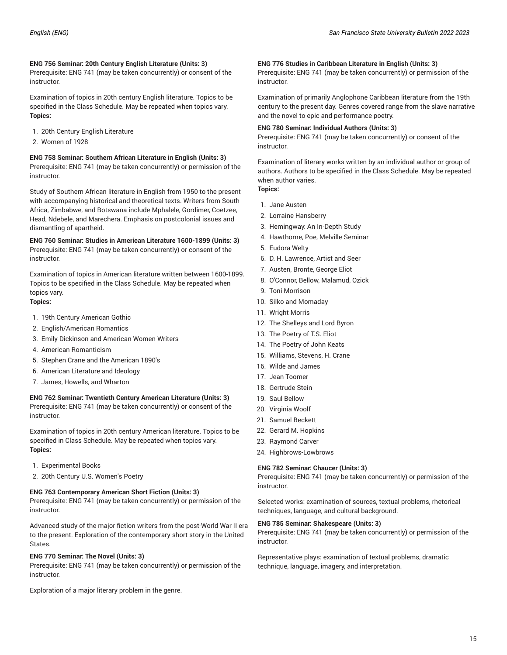# **ENG 756 Seminar: 20th Century English Literature (Units: 3)**

Prerequisite: ENG 741 (may be taken concurrently) or consent of the instructor.

Examination of topics in 20th century English literature. Topics to be specified in the Class Schedule. May be repeated when topics vary. **Topics:**

- 1. 20th Century English Literature
- 2. Women of 1928

**ENG 758 Seminar: Southern African Literature in English (Units: 3)** Prerequisite: ENG 741 (may be taken concurrently) or permission of the instructor.

Study of Southern African literature in English from 1950 to the present with accompanying historical and theoretical texts. Writers from South Africa, Zimbabwe, and Botswana include Mphalele, Gordimer, Coetzee, Head, Ndebele, and Marechera. Emphasis on postcolonial issues and dismantling of apartheid.

**ENG 760 Seminar: Studies in American Literature 1600-1899 (Units: 3)** Prerequisite: ENG 741 (may be taken concurrently) or consent of the instructor.

Examination of topics in American literature written between 1600-1899. Topics to be specified in the Class Schedule. May be repeated when topics vary. **Topics:**

- 1. 19th Century American Gothic
- 2. English/American Romantics
- 3. Emily Dickinson and American Women Writers
- 4. American Romanticism
- 5. Stephen Crane and the American 1890's
- 6. American Literature and Ideology
- 7. James, Howells, and Wharton

# **ENG 762 Seminar: Twentieth Century American Literature (Units: 3)**

Prerequisite: ENG 741 (may be taken concurrently) or consent of the instructor.

Examination of topics in 20th century American literature. Topics to be specified in Class Schedule. May be repeated when topics vary. **Topics:**

- 1. Experimental Books
- 2. 20th Century U.S. Women's Poetry

#### **ENG 763 Contemporary American Short Fiction (Units: 3)**

Prerequisite: ENG 741 (may be taken concurrently) or permission of the instructor.

Advanced study of the major fiction writers from the post-World War II era to the present. Exploration of the contemporary short story in the United States.

#### **ENG 770 Seminar: The Novel (Units: 3)**

Prerequisite: ENG 741 (may be taken concurrently) or permission of the instructor.

Exploration of a major literary problem in the genre.

#### **ENG 776 Studies in Caribbean Literature in English (Units: 3)**

Prerequisite: ENG 741 (may be taken concurrently) or permission of the instructor.

Examination of primarily Anglophone Caribbean literature from the 19th century to the present day. Genres covered range from the slave narrative and the novel to epic and performance poetry.

#### **ENG 780 Seminar: Individual Authors (Units: 3)**

Prerequisite: ENG 741 (may be taken concurrently) or consent of the instructor.

Examination of literary works written by an individual author or group of authors. Authors to be specified in the Class Schedule. May be repeated when author varies. **Topics:**

- 
- 1. Jane Austen
- 2. Lorraine Hansberry
- 3. Hemingway: An In-Depth Study
- 4. Hawthorne, Poe, Melville Seminar
- 5. Eudora Welty
- 6. D. H. Lawrence, Artist and Seer
- 7. Austen, Bronte, George Eliot
- 8. O'Connor, Bellow, Malamud, Ozick
- 9. Toni Morrison
- 10. Silko and Momaday
- 11. Wright Morris
- 12. The Shelleys and Lord Byron
- 13. The Poetry of T.S. Eliot
- 14. The Poetry of John Keats
- 15. Williams, Stevens, H. Crane
- 16. Wilde and James
- 17. Jean Toomer
- 18. Gertrude Stein
- 19. Saul Bellow
- 20. Virginia Woolf
- 21. Samuel Beckett
- 22. Gerard M. Hopkins
- 23. Raymond Carver
- 24. Highbrows-Lowbrows

### **ENG 782 Seminar: Chaucer (Units: 3)**

Prerequisite: ENG 741 (may be taken concurrently) or permission of the instructor.

Selected works: examination of sources, textual problems, rhetorical techniques, language, and cultural background.

#### **ENG 785 Seminar: Shakespeare (Units: 3)**

Prerequisite: ENG 741 (may be taken concurrently) or permission of the instructor.

Representative plays: examination of textual problems, dramatic technique, language, imagery, and interpretation.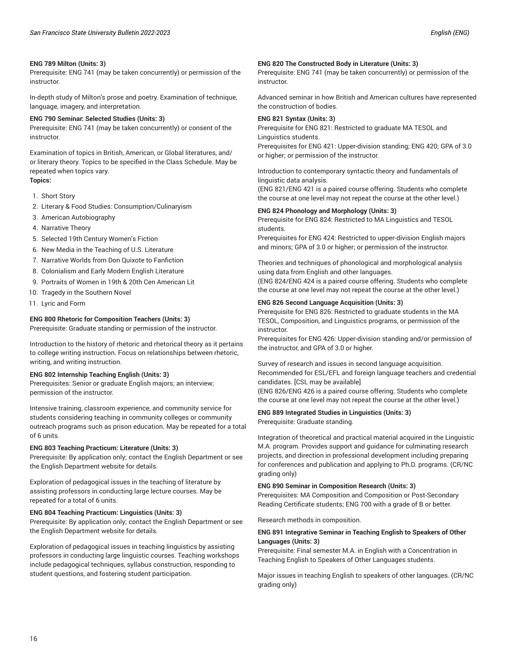Prerequisite: ENG 741 (may be taken concurrently) or permission of the instructor.

In-depth study of Milton's prose and poetry. Examination of technique, language, imagery, and interpretation.

#### **ENG 790 Seminar: Selected Studies (Units: 3)**

Prerequisite: ENG 741 (may be taken concurrently) or consent of the instructor.

Examination of topics in British, American, or Global literatures, and/ or literary theory. Topics to be specified in the Class Schedule. May be repeated when topics vary. **Topics:**

- 1. Short Story
- 2. Literary & Food Studies: Consumption/Culinaryism
- 3. American Autobiography
- 4. Narrative Theory
- 5. Selected 19th Century Women's Fiction
- 6. New Media in the Teaching of U.S. Literature
- 7. Narrative Worlds from Don Quixote to Fanfiction
- 8. Colonialism and Early Modern English Literature
- 9. Portraits of Women in 19th & 20th Cen American Lit
- 10. Tragedy in the Southern Novel
- 11. Lyric and Form

#### **ENG 800 Rhetoric for Composition Teachers (Units: 3)**

Prerequisite: Graduate standing or permission of the instructor.

Introduction to the history of rhetoric and rhetorical theory as it pertains to college writing instruction. Focus on relationships between rhetoric, writing, and writing instruction.

#### **ENG 802 Internship Teaching English (Units: 3)**

Prerequisites: Senior or graduate English majors; an interview; permission of the instructor.

Intensive training, classroom experience, and community service for students considering teaching in community colleges or community outreach programs such as prison education. May be repeated for a total of 6 units.

#### **ENG 803 Teaching Practicum: Literature (Units: 3)**

Prerequisite: By application only; contact the English Department or see the English Department website for details.

Exploration of pedagogical issues in the teaching of literature by assisting professors in conducting large lecture courses. May be repeated for a total of 6 units.

#### **ENG 804 Teaching Practicum: Linguistics (Units: 3)**

Prerequisite: By application only; contact the English Department or see the English Department website for details.

Exploration of pedagogical issues in teaching linguistics by assisting professors in conducting large linguistic courses. Teaching workshops include pedagogical techniques, syllabus construction, responding to student questions, and fostering student participation.

#### **ENG 820 The Constructed Body in Literature (Units: 3)**

Prerequisite: ENG 741 (may be taken concurrently) or permission of the instructor.

Advanced seminar in how British and American cultures have represented the construction of bodies.

#### **ENG 821 Syntax (Units: 3)**

Prerequisite for ENG 821: Restricted to graduate MA TESOL and Linguistics students.

Prerequisites for ENG 421: Upper-division standing; ENG 420; GPA of 3.0 or higher; or permission of the instructor.

Introduction to contemporary syntactic theory and fundamentals of linguistic data analysis.

(ENG 821/ENG 421 is a paired course offering. Students who complete the course at one level may not repeat the course at the other level.)

#### **ENG 824 Phonology and Morphology (Units: 3)**

Prerequisite for ENG 824: Restricted to MA Linguistics and TESOL students.

Prerequisites for ENG 424: Restricted to upper-division English majors and minors; GPA of 3.0 or higher; or permission of the instructor.

Theories and techniques of phonological and morphological analysis using data from English and other languages.

(ENG 824/ENG 424 is a paired course offering. Students who complete the course at one level may not repeat the course at the other level.)

#### **ENG 826 Second Language Acquisition (Units: 3)**

Prerequisite for ENG 826: Restricted to graduate students in the MA TESOL, Composition, and Linguistics programs, or permission of the instructor.

Prerequisites for ENG 426: Upper-division standing and/or permission of the instructor, and GPA of 3.0 or higher.

Survey of research and issues in second language acquisition. Recommended for ESL/EFL and foreign language teachers and credential candidates. [CSL may be available]

(ENG 826/ENG 426 is a paired course offering. Students who complete the course at one level may not repeat the course at the other level.)

#### **ENG 889 Integrated Studies in Linguistics (Units: 3)**

Prerequisite: Graduate standing.

Integration of theoretical and practical material acquired in the Linguistic M.A. program. Provides support and guidance for culminating research projects, and direction in professional development including preparing for conferences and publication and applying to Ph.D. programs. (CR/NC grading only)

#### **ENG 890 Seminar in Composition Research (Units: 3)**

Prerequisites: MA Composition and Composition or Post-Secondary Reading Certificate students; ENG 700 with a grade of B or better.

Research methods in composition.

#### **ENG 891 Integrative Seminar in Teaching English to Speakers of Other Languages (Units: 3)**

Prerequisite: Final semester M.A. in English with a Concentration in Teaching English to Speakers of Other Languages students.

Major issues in teaching English to speakers of other languages. (CR/NC grading only)